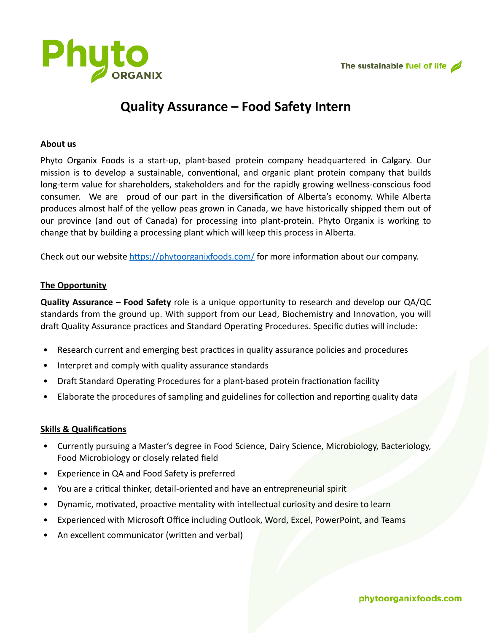

# **Quality Assurance – Food Safety Intern**

#### **About us**

Phyto Organix Foods is a start-up, plant-based protein company headquartered in Calgary. Our mission is to develop a sustainable, conventional, and organic plant protein company that builds long-term value for shareholders, stakeholders and for the rapidly growing wellness-conscious food consumer. We are proud of our part in the diversification of Alberta's economy. While Alberta produces almost half of the yellow peas grown in Canada, we have historically shipped them out of our province (and out of Canada) for processing into plant-protein. Phyto Organix is working to change that by building a processing plant which will keep this process in Alberta.

Check out our website<https://phytoorganixfoods.com/>for more information about our company.

## **The Opportunity**

**Quality Assurance – Food Safety** role is a unique opportunity to research and develop our QA/QC standards from the ground up. With support from our Lead, Biochemistry and Innovation, you will draft Quality Assurance practices and Standard Operating Procedures. Specific duties will include:

- Research current and emerging best practices in quality assurance policies and procedures
- Interpret and comply with quality assurance standards
- Draft Standard Operating Procedures for a plant-based protein fractionation facility
- Elaborate the procedures of sampling and guidelines for collection and reporting quality data

## **Skills & Qualifications**

- Currently pursuing a Master's degree in Food Science, Dairy Science, Microbiology, Bacteriology, Food Microbiology or closely related field
- Experience in QA and Food Safety is preferred
- You are a critical thinker, detail-oriented and have an entrepreneurial spirit
- Dynamic, motivated, proactive mentality with intellectual curiosity and desire to learn
- Experienced with Microsoft Office including Outlook, Word, Excel, PowerPoint, and Teams
- An excellent communicator (written and verbal)

## phytoorganixfoods.com